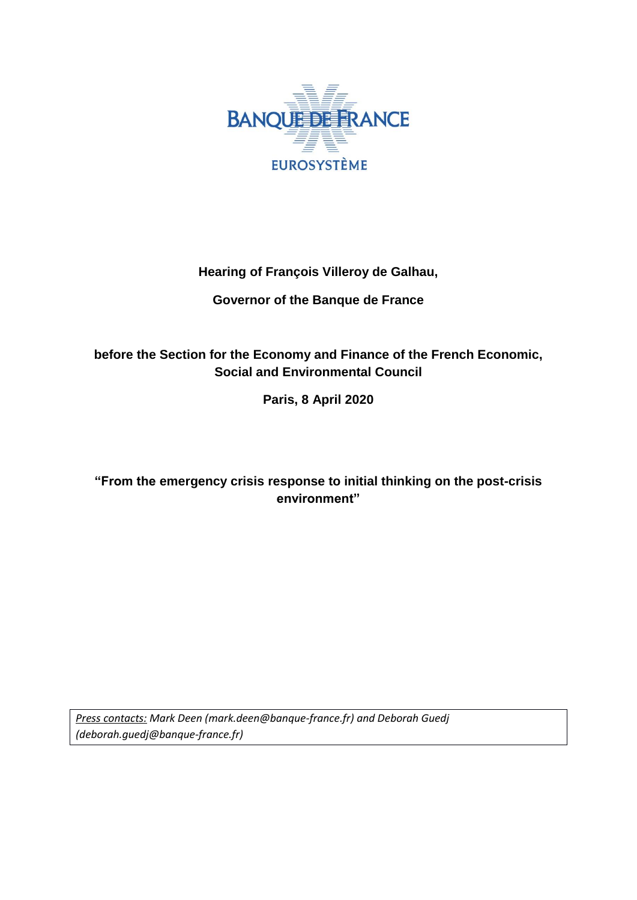

## **Hearing of François Villeroy de Galhau,**

## **Governor of the Banque de France**

# **before the Section for the Economy and Finance of the French Economic, Social and Environmental Council**

**Paris, 8 April 2020**

# **"From the emergency crisis response to initial thinking on the post-crisis environment"**

*Press contacts: Mark Deen [\(mark.deen@banque-france.fr\)](mailto:mark.deen@banque-france.fr) and Deborah Guedj (deborah.guedj@banque-france.fr)*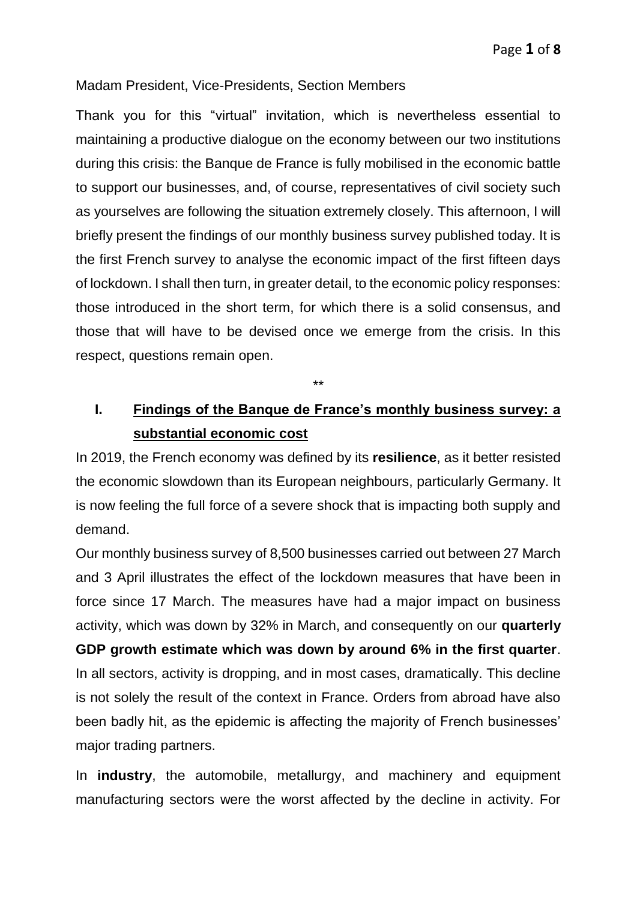### Madam President, Vice-Presidents, Section Members

Thank you for this "virtual" invitation, which is nevertheless essential to maintaining a productive dialogue on the economy between our two institutions during this crisis: the Banque de France is fully mobilised in the economic battle to support our businesses, and, of course, representatives of civil society such as yourselves are following the situation extremely closely. This afternoon, I will briefly present the findings of our monthly business survey published today. It is the first French survey to analyse the economic impact of the first fifteen days of lockdown. I shall then turn, in greater detail, to the economic policy responses: those introduced in the short term, for which there is a solid consensus, and those that will have to be devised once we emerge from the crisis. In this respect, questions remain open.

\*\*

# **I. Findings of the Banque de France's monthly business survey: a substantial economic cost**

In 2019, the French economy was defined by its **resilience**, as it better resisted the economic slowdown than its European neighbours, particularly Germany. It is now feeling the full force of a severe shock that is impacting both supply and demand.

Our monthly business survey of 8,500 businesses carried out between 27 March and 3 April illustrates the effect of the lockdown measures that have been in force since 17 March. The measures have had a major impact on business activity, which was down by 32% in March, and consequently on our **quarterly GDP growth estimate which was down by around 6% in the first quarter**. In all sectors, activity is dropping, and in most cases, dramatically. This decline is not solely the result of the context in France. Orders from abroad have also been badly hit, as the epidemic is affecting the majority of French businesses' major trading partners.

In **industry**, the automobile, metallurgy, and machinery and equipment manufacturing sectors were the worst affected by the decline in activity. For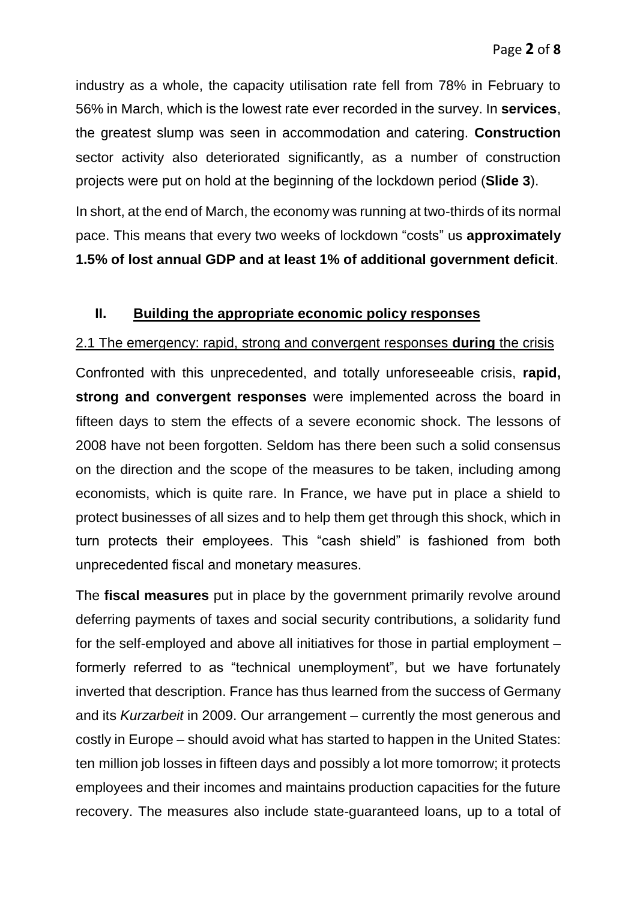industry as a whole, the capacity utilisation rate fell from 78% in February to 56% in March, which is the lowest rate ever recorded in the survey. In **services**, the greatest slump was seen in accommodation and catering. **Construction** sector activity also deteriorated significantly, as a number of construction projects were put on hold at the beginning of the lockdown period (**Slide 3**).

In short, at the end of March, the economy was running at two-thirds of its normal pace. This means that every two weeks of lockdown "costs" us **approximately 1.5% of lost annual GDP and at least 1% of additional government deficit**.

#### **II. Building the appropriate economic policy responses**

#### 2.1 The emergency: rapid, strong and convergent responses **during** the crisis

Confronted with this unprecedented, and totally unforeseeable crisis, **rapid, strong and convergent responses** were implemented across the board in fifteen days to stem the effects of a severe economic shock. The lessons of 2008 have not been forgotten. Seldom has there been such a solid consensus on the direction and the scope of the measures to be taken, including among economists, which is quite rare. In France, we have put in place a shield to protect businesses of all sizes and to help them get through this shock, which in turn protects their employees. This "cash shield" is fashioned from both unprecedented fiscal and monetary measures.

The **fiscal measures** put in place by the government primarily revolve around deferring payments of taxes and social security contributions, a solidarity fund for the self-employed and above all initiatives for those in partial employment – formerly referred to as "technical unemployment", but we have fortunately inverted that description. France has thus learned from the success of Germany and its *Kurzarbeit* in 2009. Our arrangement – currently the most generous and costly in Europe – should avoid what has started to happen in the United States: ten million job losses in fifteen days and possibly a lot more tomorrow; it protects employees and their incomes and maintains production capacities for the future recovery. The measures also include state-guaranteed loans, up to a total of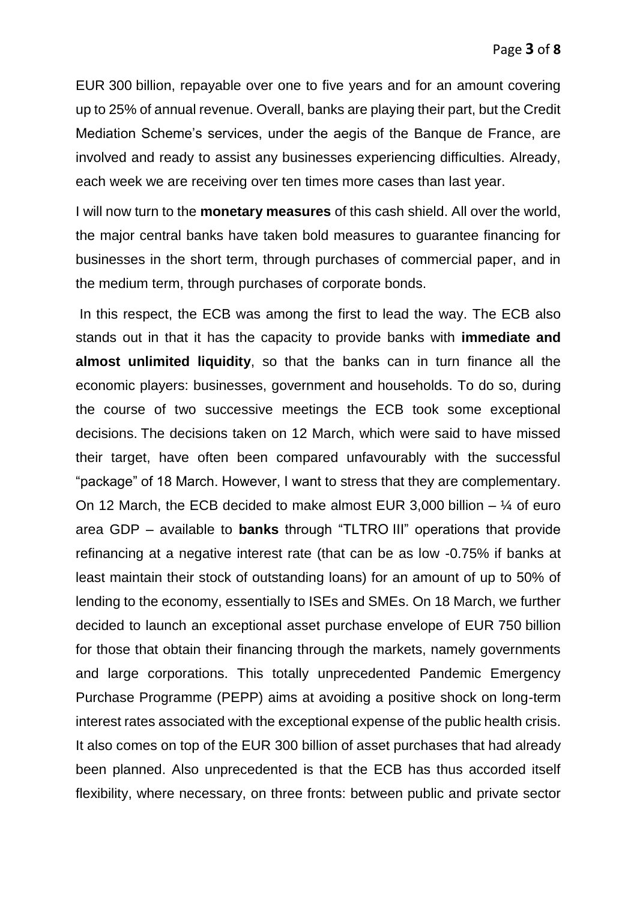EUR 300 billion, repayable over one to five years and for an amount covering up to 25% of annual revenue. Overall, banks are playing their part, but the Credit Mediation Scheme's services, under the aegis of the Banque de France, are involved and ready to assist any businesses experiencing difficulties. Already, each week we are receiving over ten times more cases than last year.

I will now turn to the **monetary measures** of this cash shield. All over the world, the major central banks have taken bold measures to guarantee financing for businesses in the short term, through purchases of commercial paper, and in the medium term, through purchases of corporate bonds.

In this respect, the ECB was among the first to lead the way. The ECB also stands out in that it has the capacity to provide banks with **immediate and almost unlimited liquidity**, so that the banks can in turn finance all the economic players: businesses, government and households. To do so, during the course of two successive meetings the ECB took some exceptional decisions. The decisions taken on 12 March, which were said to have missed their target, have often been compared unfavourably with the successful "package" of 18 March. However, I want to stress that they are complementary. On 12 March, the ECB decided to make almost EUR 3,000 billion  $-$  ¼ of euro area GDP – available to **banks** through "TLTRO III" operations that provide refinancing at a negative interest rate (that can be as low -0.75% if banks at least maintain their stock of outstanding loans) for an amount of up to 50% of lending to the economy, essentially to ISEs and SMEs. On 18 March, we further decided to launch an exceptional asset purchase envelope of EUR 750 billion for those that obtain their financing through the markets, namely governments and large corporations. This totally unprecedented Pandemic Emergency Purchase Programme (PEPP) aims at avoiding a positive shock on long-term interest rates associated with the exceptional expense of the public health crisis. It also comes on top of the EUR 300 billion of asset purchases that had already been planned. Also unprecedented is that the ECB has thus accorded itself flexibility, where necessary, on three fronts: between public and private sector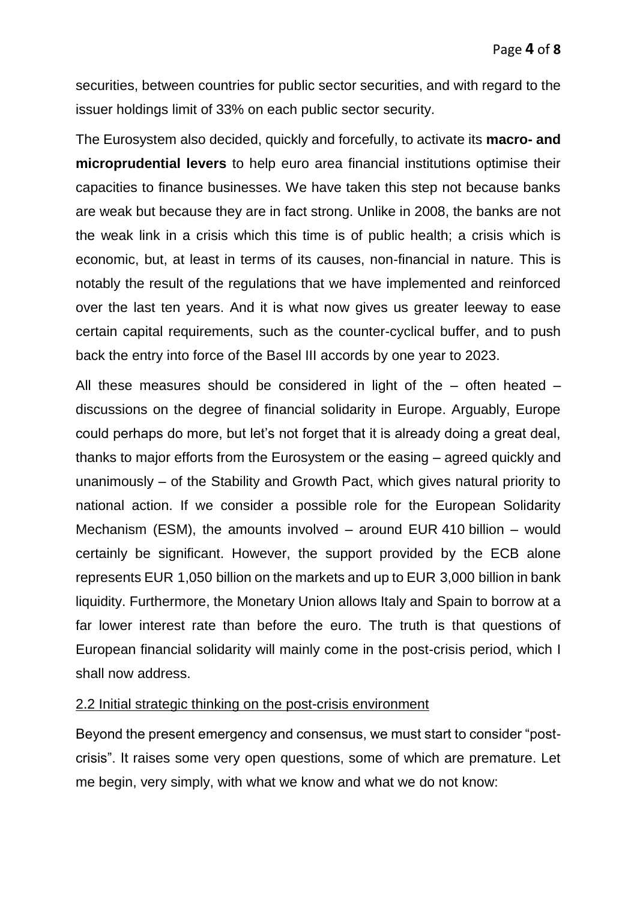securities, between countries for public sector securities, and with regard to the issuer holdings limit of 33% on each public sector security.

The Eurosystem also decided, quickly and forcefully, to activate its **macro- and microprudential levers** to help euro area financial institutions optimise their capacities to finance businesses. We have taken this step not because banks are weak but because they are in fact strong. Unlike in 2008, the banks are not the weak link in a crisis which this time is of public health; a crisis which is economic, but, at least in terms of its causes, non-financial in nature. This is notably the result of the regulations that we have implemented and reinforced over the last ten years. And it is what now gives us greater leeway to ease certain capital requirements, such as the counter-cyclical buffer, and to push back the entry into force of the Basel III accords by one year to 2023.

All these measures should be considered in light of the – often heated – discussions on the degree of financial solidarity in Europe. Arguably, Europe could perhaps do more, but let's not forget that it is already doing a great deal, thanks to major efforts from the Eurosystem or the easing – agreed quickly and unanimously – of the Stability and Growth Pact, which gives natural priority to national action. If we consider a possible role for the European Solidarity Mechanism (ESM), the amounts involved – around EUR 410 billion – would certainly be significant. However, the support provided by the ECB alone represents EUR 1,050 billion on the markets and up to EUR 3,000 billion in bank liquidity. Furthermore, the Monetary Union allows Italy and Spain to borrow at a far lower interest rate than before the euro. The truth is that questions of European financial solidarity will mainly come in the post-crisis period, which I shall now address.

#### 2.2 Initial strategic thinking on the post-crisis environment

Beyond the present emergency and consensus, we must start to consider "postcrisis". It raises some very open questions, some of which are premature. Let me begin, very simply, with what we know and what we do not know: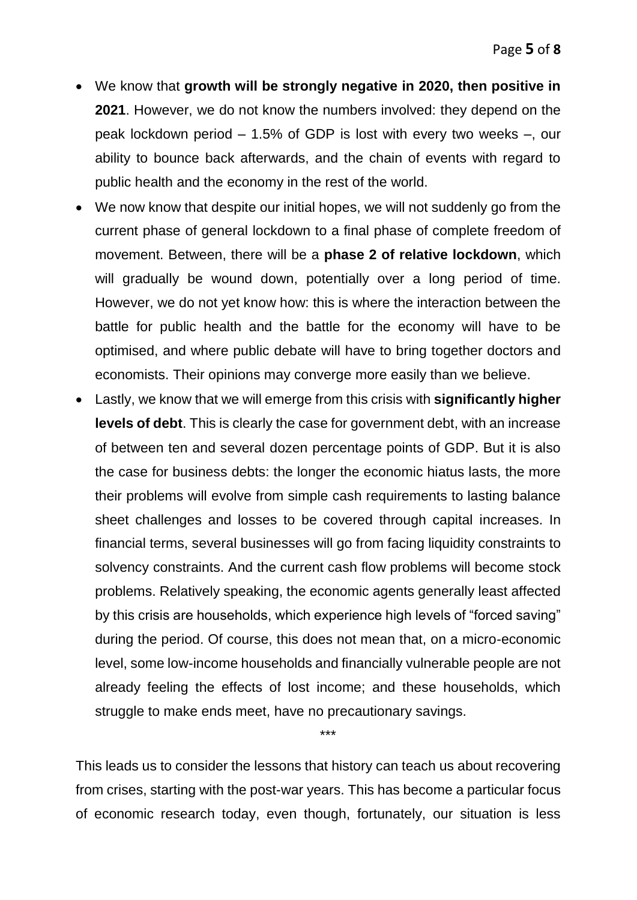- We know that **growth will be strongly negative in 2020, then positive in 2021**. However, we do not know the numbers involved: they depend on the peak lockdown period – 1.5% of GDP is lost with every two weeks –, our ability to bounce back afterwards, and the chain of events with regard to public health and the economy in the rest of the world.
- We now know that despite our initial hopes, we will not suddenly go from the current phase of general lockdown to a final phase of complete freedom of movement. Between, there will be a **phase 2 of relative lockdown**, which will gradually be wound down, potentially over a long period of time. However, we do not yet know how: this is where the interaction between the battle for public health and the battle for the economy will have to be optimised, and where public debate will have to bring together doctors and economists. Their opinions may converge more easily than we believe.
- Lastly, we know that we will emerge from this crisis with **significantly higher levels of debt**. This is clearly the case for government debt, with an increase of between ten and several dozen percentage points of GDP. But it is also the case for business debts: the longer the economic hiatus lasts, the more their problems will evolve from simple cash requirements to lasting balance sheet challenges and losses to be covered through capital increases. In financial terms, several businesses will go from facing liquidity constraints to solvency constraints. And the current cash flow problems will become stock problems. Relatively speaking, the economic agents generally least affected by this crisis are households, which experience high levels of "forced saving" during the period. Of course, this does not mean that, on a micro-economic level, some low-income households and financially vulnerable people are not already feeling the effects of lost income; and these households, which struggle to make ends meet, have no precautionary savings.

This leads us to consider the lessons that history can teach us about recovering from crises, starting with the post-war years. This has become a particular focus of economic research today, even though, fortunately, our situation is less

\*\*\*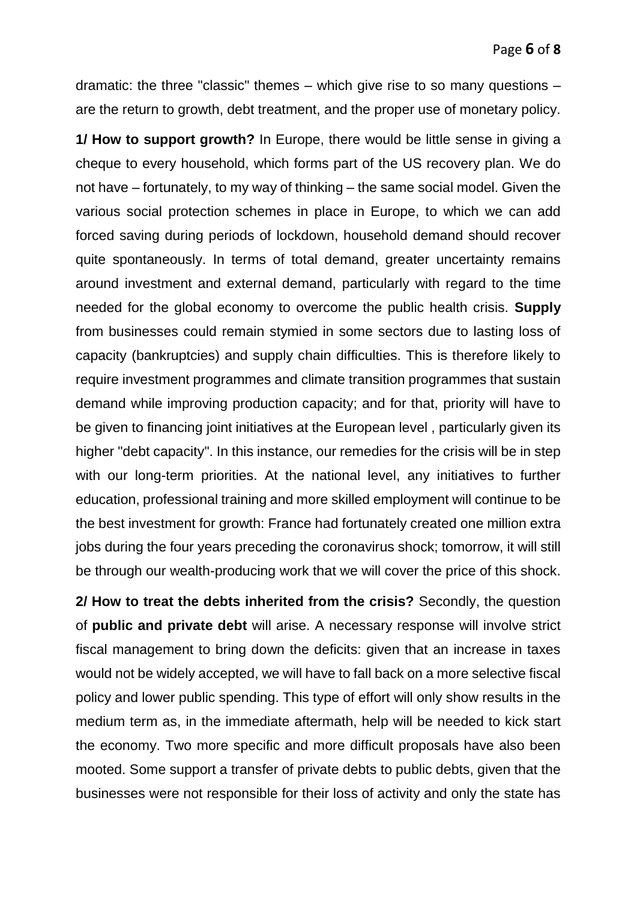dramatic: the three "classic" themes – which give rise to so many questions – are the return to growth, debt treatment, and the proper use of monetary policy.

**1/ How to support growth?** In Europe, there would be little sense in giving a cheque to every household, which forms part of the US recovery plan. We do not have – fortunately, to my way of thinking – the same social model. Given the various social protection schemes in place in Europe, to which we can add forced saving during periods of lockdown, household demand should recover quite spontaneously. In terms of total demand, greater uncertainty remains around investment and external demand, particularly with regard to the time needed for the global economy to overcome the public health crisis. **Supply** from businesses could remain stymied in some sectors due to lasting loss of capacity (bankruptcies) and supply chain difficulties. This is therefore likely to require investment programmes and climate transition programmes that sustain demand while improving production capacity; and for that, priority will have to be given to financing joint initiatives at the European level , particularly given its higher "debt capacity". In this instance, our remedies for the crisis will be in step with our long-term priorities. At the national level, any initiatives to further education, professional training and more skilled employment will continue to be the best investment for growth: France had fortunately created one million extra jobs during the four years preceding the coronavirus shock; tomorrow, it will still be through our wealth-producing work that we will cover the price of this shock.

**2/ How to treat the debts inherited from the crisis?** Secondly, the question of **public and private debt** will arise. A necessary response will involve strict fiscal management to bring down the deficits: given that an increase in taxes would not be widely accepted, we will have to fall back on a more selective fiscal policy and lower public spending. This type of effort will only show results in the medium term as, in the immediate aftermath, help will be needed to kick start the economy. Two more specific and more difficult proposals have also been mooted. Some support a transfer of private debts to public debts, given that the businesses were not responsible for their loss of activity and only the state has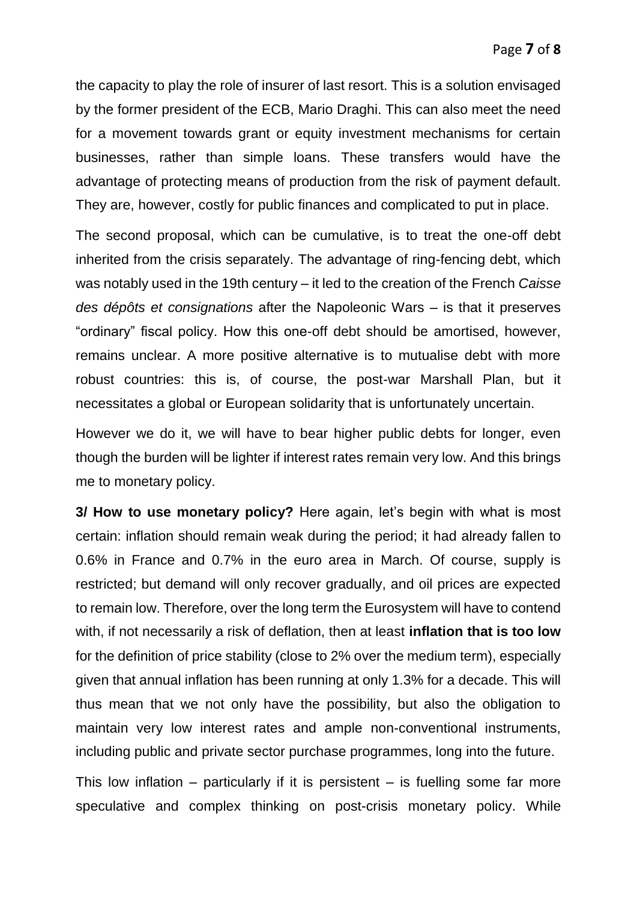the capacity to play the role of insurer of last resort. This is a solution envisaged by the former president of the ECB, Mario Draghi. This can also meet the need for a movement towards grant or equity investment mechanisms for certain businesses, rather than simple loans. These transfers would have the advantage of protecting means of production from the risk of payment default. They are, however, costly for public finances and complicated to put in place.

The second proposal, which can be cumulative, is to treat the one-off debt inherited from the crisis separately. The advantage of ring-fencing debt, which was notably used in the 19th century – it led to the creation of the French *Caisse des dépôts et consignations* after the Napoleonic Wars – is that it preserves "ordinary" fiscal policy. How this one-off debt should be amortised, however, remains unclear. A more positive alternative is to mutualise debt with more robust countries: this is, of course, the post-war Marshall Plan, but it necessitates a global or European solidarity that is unfortunately uncertain.

However we do it, we will have to bear higher public debts for longer, even though the burden will be lighter if interest rates remain very low. And this brings me to monetary policy.

**3/ How to use monetary policy?** Here again, let's begin with what is most certain: inflation should remain weak during the period; it had already fallen to 0.6% in France and 0.7% in the euro area in March. Of course, supply is restricted; but demand will only recover gradually, and oil prices are expected to remain low. Therefore, over the long term the Eurosystem will have to contend with, if not necessarily a risk of deflation, then at least **inflation that is too low** for the definition of price stability (close to 2% over the medium term), especially given that annual inflation has been running at only 1.3% for a decade. This will thus mean that we not only have the possibility, but also the obligation to maintain very low interest rates and ample non-conventional instruments, including public and private sector purchase programmes, long into the future.

This low inflation – particularly if it is persistent – is fuelling some far more speculative and complex thinking on post-crisis monetary policy. While